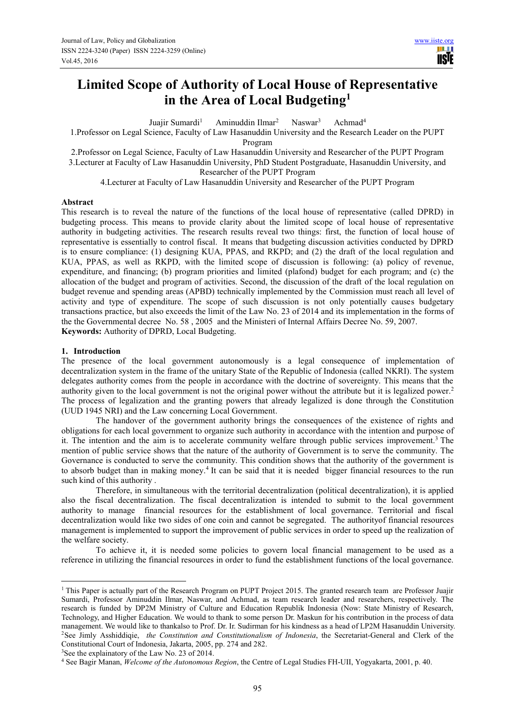# **Limited Scope of Authority of Local House of Representative in the Area of Local Budgeting<sup>1</sup>**

Juajir Sumardi<sup>1</sup> Aminuddin Ilmar<sup>2</sup> Naswar<sup>3</sup> Achmad<sup>4</sup>

1.Professor on Legal Science, Faculty of Law Hasanuddin University and the Research Leader on the PUPT

Program

2.Professor on Legal Science, Faculty of Law Hasanuddin University and Researcher of the PUPT Program 3.Lecturer at Faculty of Law Hasanuddin University, PhD Student Postgraduate, Hasanuddin University, and Researcher of the PUPT Program

4.Lecturer at Faculty of Law Hasanuddin University and Researcher of the PUPT Program

## **Abstract**

This research is to reveal the nature of the functions of the local house of representative (called DPRD) in budgeting process. This means to provide clarity about the limited scope of local house of representative authority in budgeting activities. The research results reveal two things: first, the function of local house of representative is essentially to control fiscal. It means that budgeting discussion activities conducted by DPRD is to ensure compliance: (1) designing KUA, PPAS, and RKPD; and (2) the draft of the local regulation and KUA, PPAS, as well as RKPD, with the limited scope of discussion is following: (a) policy of revenue, expenditure, and financing; (b) program priorities and limited (plafond) budget for each program; and (c) the allocation of the budget and program of activities. Second, the discussion of the draft of the local regulation on budget revenue and spending areas (APBD) technically implemented by the Commission must reach all level of activity and type of expenditure. The scope of such discussion is not only potentially causes budgetary transactions practice, but also exceeds the limit of the Law No. 23 of 2014 and its implementation in the forms of the the Governmental decree No. 58 , 2005 and the Ministeri of Internal Affairs Decree No. 59, 2007. **Keywords:** Authority of DPRD, Local Budgeting.

## **1. Introduction**

 $\overline{a}$ 

The presence of the local government autonomously is a legal consequence of implementation of decentralization system in the frame of the unitary State of the Republic of Indonesia (called NKRI). The system delegates authority comes from the people in accordance with the doctrine of sovereignty. This means that the authority given to the local government is not the original power without the attribute but it is legalized power.<sup>2</sup> The process of legalization and the granting powers that already legalized is done through the Constitution (UUD 1945 NRI) and the Law concerning Local Government.

The handover of the government authority brings the consequences of the existence of rights and obligations for each local government to organize such authority in accordance with the intention and purpose of it. The intention and the aim is to accelerate community welfare through public services improvement.<sup>3</sup> The mention of public service shows that the nature of the authority of Government is to serve the community. The Governance is conducted to serve the community. This condition shows that the authority of the government is to absorb budget than in making money.<sup>4</sup> It can be said that it is needed bigger financial resources to the run such kind of this authority .

Therefore, in simultaneous with the territorial decentralization (political decentralization), it is applied also the fiscal decentralization. The fiscal decentralization is intended to submit to the local government authority to manage financial resources for the establishment of local governance. Territorial and fiscal decentralization would like two sides of one coin and cannot be segregated. The authorityof financial resources management is implemented to support the improvement of public services in order to speed up the realization of the welfare society.

To achieve it, it is needed some policies to govern local financial management to be used as a reference in utilizing the financial resources in order to fund the establishment functions of the local governance.

<sup>&</sup>lt;sup>1</sup> This Paper is actually part of the Research Program on PUPT Project 2015. The granted research team are Professor Juajir Sumardi, Professor Aminuddin Ilmar, Naswar, and Achmad, as team research leader and researchers, respectively. The research is funded by DP2M Ministry of Culture and Education Republik Indonesia (Now: State Ministry of Research, Technology, and Higher Education. We would to thank to some person Dr. Maskun for his contribution in the process of data management. We would like to thankalso to Prof. Dr. Ir. Sudirman for his kindness as a head of LP2M Hasanuddin University. <sup>2</sup>See Jimly Asshiddiqie, *the Constitution and Constitutionalism of Indonesia*, the Secretariat-General and Clerk of the Constitutional Court of Indonesia, Jakarta, 2005, pp. 274 and 282.

<sup>&</sup>lt;sup>3</sup>See the explainatory of the Law No. 23 of 2014.

<sup>4</sup> See Bagir Manan, *Welcome of the Autonomous Region*, the Centre of Legal Studies FH-UII, Yogyakarta, 2001, p. 40.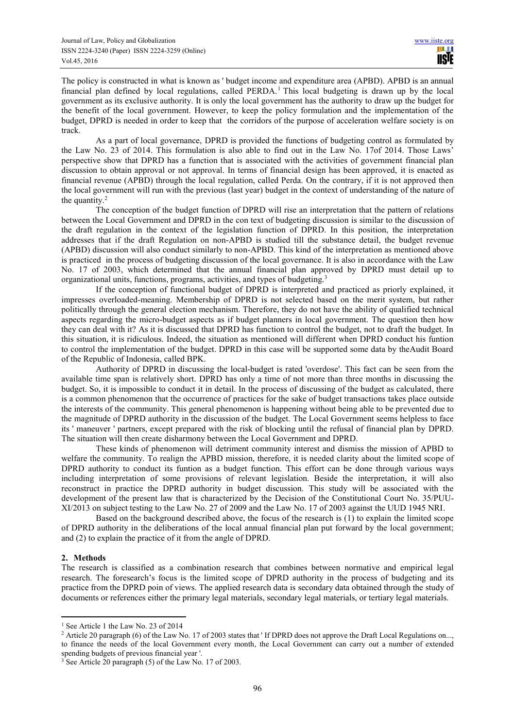The policy is constructed in what is known as ' budget income and expenditure area (APBD). APBD is an annual financial plan defined by local regulations, called PERDA.<sup>1</sup> This local budgeting is drawn up by the local government as its exclusive authority. It is only the local government has the authority to draw up the budget for the benefit of the local government. However, to keep the policy formulation and the implementation of the budget, DPRD is needed in order to keep that the corridors of the purpose of acceleration welfare society is on track.

As a part of local governance, DPRD is provided the functions of budgeting control as formulated by the Law No. 23 of 2014. This formulation is also able to find out in the Law No. 17of 2014. Those Laws' perspective show that DPRD has a function that is associated with the activities of government financial plan discussion to obtain approval or not approval. In terms of financial design has been approved, it is enacted as financial revenue (APBD) through the local regulation, called Perda. On the contrary, if it is not approved then the local government will run with the previous (last year) budget in the context of understanding of the nature of the quantity.<sup>2</sup>

The conception of the budget function of DPRD will rise an interpretation that the pattern of relations between the Local Government and DPRD in the con text of budgeting discussion is similar to the discussion of the draft regulation in the context of the legislation function of DPRD. In this position, the interpretation addresses that if the draft Regulation on non-APBD is studied till the substance detail, the budget revenue (APBD) discussion will also conduct similarly to non-APBD. This kind of the interpretation as mentioned above is practiced in the process of budgeting discussion of the local governance. It is also in accordance with the Law No. 17 of 2003, which determined that the annual financial plan approved by DPRD must detail up to organizational units, functions, programs, activities, and types of budgeting.<sup>3</sup>

If the conception of functional budget of DPRD is interpreted and practiced as priorly explained, it impresses overloaded-meaning. Membership of DPRD is not selected based on the merit system, but rather politically through the general election mechanism. Therefore, they do not have the ability of qualified technical aspects regarding the micro-budget aspects as if budget planners in local government. The question then how they can deal with it? As it is discussed that DPRD has function to control the budget, not to draft the budget. In this situation, it is ridiculous. Indeed, the situation as mentioned will different when DPRD conduct his funtion to control the implementation of the budget. DPRD in this case will be supported some data by theAudit Board of the Republic of Indonesia, called BPK.

Authority of DPRD in discussing the local-budget is rated 'overdose'. This fact can be seen from the available time span is relatively short. DPRD has only a time of not more than three months in discussing the budget. So, it is impossible to conduct it in detail. In the process of discussing of the budget as calculated, there is a common phenomenon that the occurrence of practices for the sake of budget transactions takes place outside the interests of the community. This general phenomenon is happening without being able to be prevented due to the magnitude of DPRD authority in the discussion of the budget. The Local Government seems helpless to face its ' maneuver ' partners, except prepared with the risk of blocking until the refusal of financial plan by DPRD. The situation will then create disharmony between the Local Government and DPRD.

These kinds of phenomenon will detriment community interest and dismiss the mission of APBD to welfare the community. To realign the APBD mission, therefore, it is needed clarity about the limited scope of DPRD authority to conduct its funtion as a budget function. This effort can be done through various ways including interpretation of some provisions of relevant legislation. Beside the interpretation, it will also reconstruct in practice the DPRD authority in budget discussion. This study will be associated with the development of the present law that is characterized by the Decision of the Constitutional Court No. 35/PUU-XI/2013 on subject testing to the Law No. 27 of 2009 and the Law No. 17 of 2003 against the UUD 1945 NRI.

Based on the background described above, the focus of the research is (1) to explain the limited scope of DPRD authority in the deliberations of the local annual financial plan put forward by the local government; and (2) to explain the practice of it from the angle of DPRD.

# **2. Methods**

 $\overline{a}$ 

The research is classified as a combination research that combines between normative and empirical legal research. The foresearch's focus is the limited scope of DPRD authority in the process of budgeting and its practice from the DPRD poin of views. The applied research data is secondary data obtained through the study of documents or references either the primary legal materials, secondary legal materials, or tertiary legal materials.

<sup>1</sup> See Article 1 the Law No. 23 of 2014

<sup>&</sup>lt;sup>2</sup> Article 20 paragraph (6) of the Law No. 17 of 2003 states that ' If DPRD does not approve the Draft Local Regulations on..., to finance the needs of the local Government every month, the Local Government can carry out a number of extended spending budgets of previous financial year '.

<sup>&</sup>lt;sup>3</sup> See Article 20 paragraph (5) of the Law No. 17 of 2003.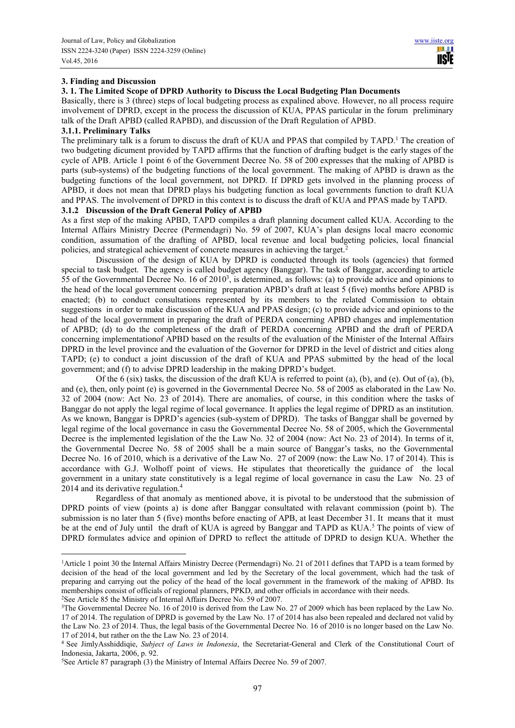#### **3. Finding and Discussion**

## **3. 1. The Limited Scope of DPRD Authority to Discuss the Local Budgeting Plan Documents**

Basically, there is 3 (three) steps of local budgeting process as expalined above. However, no all process require involvement of DPRD, except in the process the discussion of KUA, PPAS particular in the forum preliminary talk of the Draft APBD (called RAPBD), and discussion of the Draft Regulation of APBD.

#### **3.1.1. Preliminary Talks**

 $\overline{a}$ 

The preliminary talk is a forum to discuss the draft of KUA and PPAS that compiled by TAPD.<sup>1</sup> The creation of two budgeting dicument provided by TAPD affirms that the function of drafting budget is the early stages of the cycle of APB. Article 1 point 6 of the Government Decree No. 58 of 200 expresses that the making of APBD is parts (sub-systems) of the budgeting functions of the local government. The making of APBD is drawn as the budgeting functions of the local government, not DPRD. If DPRD gets involved in the planning process of APBD, it does not mean that DPRD plays his budgeting function as local governments function to draft KUA and PPAS. The involvement of DPRD in this context is to discuss the draft of KUA and PPAS made by TAPD.

#### **3.1.2 Discussion of the Draft General Policy of APBD**

As a first step of the making APBD, TAPD compiles a draft planning document called KUA. According to the Internal Affairs Ministry Decree (Permendagri) No. 59 of 2007, KUA's plan designs local macro economic condition, assumation of the drafting of APBD, local revenue and local budgeting policies, local financial policies, and strategical achievement of concrete measures in achieving the target.<sup>2</sup>

Discussion of the design of KUA by DPRD is conducted through its tools (agencies) that formed special to task budget. The agency is called budget agency (Banggar). The task of Banggar, according to article 55 of the Governmental Decree No. 16 of  $2010<sup>3</sup>$ , is determined, as follows: (a) to provide advice and opinions to the head of the local government concerning preparation APBD's draft at least 5 (five) months before APBD is enacted; (b) to conduct consultations represented by its members to the related Commission to obtain suggestions in order to make discussion of the KUA and PPAS design; (c) to provide advice and opinions to the head of the local government in preparing the draft of PERDA concerning APBD changes and implementation of APBD; (d) to do the completeness of the draft of PERDA concerning APBD and the draft of PERDA concerning implementationof APBD based on the results of the evaluation of the Minister of the Internal Affairs DPRD in the level province and the evaluation of the Governor for DPRD in the level of district and cities along TAPD; (e) to conduct a joint discussion of the draft of KUA and PPAS submitted by the head of the local government; and (f) to advise DPRD leadership in the making DPRD's budget.

Of the 6 (six) tasks, the discussion of the draft KUA is referred to point (a), (b), and (e). Out of (a), (b), and (e), then, only point (e) is governed in the Governmental Decree No. 58 of 2005 as elaborated in the Law No. 32 of 2004 (now: Act No. 23 of 2014). There are anomalies, of course, in this condition where the tasks of Banggar do not apply the legal regime of local governance. It applies the legal regime of DPRD as an institution. As we known, Banggar is DPRD's agencies (sub-system of DPRD). The tasks of Banggar shall be governed by legal regime of the local governance in casu the Governmental Decree No. 58 of 2005, which the Governmental Decree is the implemented legislation of the the Law No. 32 of 2004 (now: Act No. 23 of 2014). In terms of it, the Governmental Decree No. 58 of 2005 shall be a main source of Banggar's tasks, no the Governmental Decree No. 16 of 2010, which is a derivative of the Law No. 27 of 2009 (now: the Law No. 17 of 2014). This is accordance with G.J. Wolhoff point of views. He stipulates that theoretically the guidance of the local government in a unitary state constitutively is a legal regime of local governance in casu the Law No. 23 of 2014 and its derivative regulation.<sup>4</sup>

Regardless of that anomaly as mentioned above, it is pivotal to be understood that the submission of DPRD points of view (points a) is done after Banggar consultated with relavant commission (point b). The submission is no later than 5 (five) months before enacting of APB, at least December 31. It means that it must be at the end of July until the draft of KUA is agreed by Banggar and TAPD as KUA.<sup>5</sup> The points of view of DPRD formulates advice and opinion of DPRD to reflect the attitude of DPRD to design KUA. Whether the

<sup>&</sup>lt;sup>1</sup> Article 1 point 30 the Internal Affairs Ministry Decree (Permendagri) No. 21 of 2011 defines that TAPD is a team formed by decision of the head of the local government and led by the Secretary of the local government, which had the task of preparing and carrying out the policy of the head of the local government in the framework of the making of APBD. Its memberships consist of officials of regional planners, PPKD, and other officials in accordance with their needs. <sup>2</sup>See Article 85 the Ministry of Internal Affairs Decree No. 59 of 2007.

<sup>3</sup>The Governmental Decree No. 16 of 2010 is derived from the Law No. 27 of 2009 which has been replaced by the Law No. 17 of 2014. The regulation of DPRD is governed by the Law No. 17 of 2014 has also been repealed and declared not valid by the Law No. 23 of 2014. Thus, the legal basis of the Governmental Decree No. 16 of 2010 is no longer based on the Law No. 17 of 2014, but rather on the the Law No. 23 of 2014.

<sup>4</sup> See JimlyAsshiddiqie, *Subject of Laws in Indonesia*, the Secretariat-General and Clerk of the Constitutional Court of Indonesia, Jakarta, 2006, p. 92.

<sup>5</sup>See Article 87 paragraph (3) the Ministry of Internal Affairs Decree No. 59 of 2007.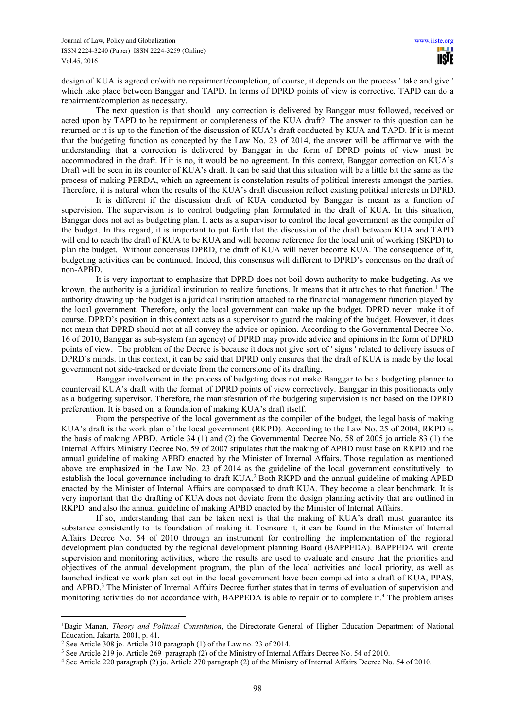design of KUA is agreed or/with no repairment/completion, of course, it depends on the process ' take and give ' which take place between Banggar and TAPD. In terms of DPRD points of view is corrective, TAPD can do a repairment/completion as necessary.

The next question is that should any correction is delivered by Banggar must followed, received or acted upon by TAPD to be repairment or completeness of the KUA draft?. The answer to this question can be returned or it is up to the function of the discussion of KUA's draft conducted by KUA and TAPD. If it is meant that the budgeting function as concepted by the Law No. 23 of 2014, the answer will be affirmative with the understanding that a correction is delivered by Banggar in the form of DPRD points of view must be accommodated in the draft. If it is no, it would be no agreement. In this context, Banggar correction on KUA's Draft will be seen in its counter of KUA's draft. It can be said that this situation will be a little bit the same as the process of making PERDA, which an agreement is constelation results of political interests amongst the parties. Therefore, it is natural when the results of the KUA's draft discussion reflect existing political interests in DPRD.

It is different if the discussion draft of KUA conducted by Banggar is meant as a function of supervision. The supervision is to control budgeting plan formulated in the draft of KUA. In this situation, Banggar does not act as budgeting plan. It acts as a supervisor to control the local government as the compiler of the budget. In this regard, it is important to put forth that the discussion of the draft between KUA and TAPD will end to reach the draft of KUA to be KUA and will become reference for the local unit of working (SKPD) to plan the budget. Without concensus DPRD, the draft of KUA will never become KUA. The consequence of it, budgeting activities can be continued. Indeed, this consensus will different to DPRD's concensus on the draft of non-APBD.

It is very important to emphasize that DPRD does not boil down authority to make budgeting. As we known, the authority is a juridical institution to realize functions. It means that it attaches to that function.<sup>1</sup> The authority drawing up the budget is a juridical institution attached to the financial management function played by the local government. Therefore, only the local government can make up the budget. DPRD never make it of course. DPRD's position in this context acts as a supervisor to guard the making of the budget. However, it does not mean that DPRD should not at all convey the advice or opinion. According to the Governmental Decree No. 16 of 2010, Banggar as sub-system (an agency) of DPRD may provide advice and opinions in the form of DPRD points of view. The problem of the Decree is because it does not give sort of ' signs ' related to delivery issues of DPRD's minds. In this context, it can be said that DPRD only ensures that the draft of KUA is made by the local government not side-tracked or deviate from the cornerstone of its drafting.

Banggar involvement in the process of budgeting does not make Banggar to be a budgeting planner to countervail KUA's draft with the format of DPRD points of view correctively. Banggar in this positionacts only as a budgeting supervisor. Therefore, the manisfestation of the budgeting supervision is not based on the DPRD preferention. It is based on a foundation of making KUA's draft itself.

From the perspective of the local government as the compiler of the budget, the legal basis of making KUA's draft is the work plan of the local government (RKPD). According to the Law No. 25 of 2004, RKPD is the basis of making APBD. Article 34 (1) and (2) the Governmental Decree No. 58 of 2005 jo article 83 (1) the Internal Affairs Ministry Decree No. 59 of 2007 stipulates that the making of APBD must base on RKPD and the annual guideline of making APBD enacted by the Minister of Internal Affairs. Those regulation as mentioned above are emphasized in the Law No. 23 of 2014 as the guideline of the local government constitutively to establish the local governance including to draft KUA.<sup>2</sup> Both RKPD and the annual guideline of making APBD enacted by the Minister of Internal Affairs are compassed to draft KUA. They become a clear benchmark. It is very important that the drafting of KUA does not deviate from the design planning activity that are outlined in RKPD and also the annual guideline of making APBD enacted by the Minister of Internal Affairs.

If so, understanding that can be taken next is that the making of KUA's draft must guarantee its substance consistently to its foundation of making it. Toensure it, it can be found in the Minister of Internal Affairs Decree No. 54 of 2010 through an instrument for controlling the implementation of the regional development plan conducted by the regional development planning Board (BAPPEDA). BAPPEDA will create supervision and monitoring activities, where the results are used to evaluate and ensure that the priorities and objectives of the annual development program, the plan of the local activities and local priority, as well as launched indicative work plan set out in the local government have been compiled into a draft of KUA, PPAS, and APBD.<sup>3</sup> The Minister of Internal Affairs Decree further states that in terms of evaluation of supervision and monitoring activities do not accordance with, BAPPEDA is able to repair or to complete it.<sup>4</sup> The problem arises

 $\overline{a}$ 

<sup>1</sup>Bagir Manan, *Theory and Political Constitution*, the Directorate General of Higher Education Department of National Education, Jakarta, 2001, p. 41.

<sup>2</sup> See Article 308 jo. Article 310 paragraph (1) of the Law no. 23 of 2014.

<sup>&</sup>lt;sup>3</sup> See Article 219 jo. Article 269 paragraph (2) of the Ministry of Internal Affairs Decree No. 54 of 2010.

<sup>4</sup> See Article 220 paragraph (2) jo. Article 270 paragraph (2) of the Ministry of Internal Affairs Decree No. 54 of 2010.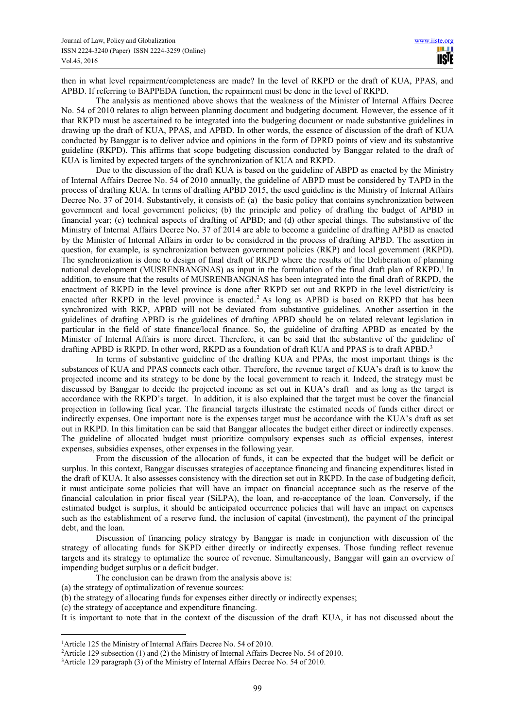then in what level repairment/completeness are made? In the level of RKPD or the draft of KUA, PPAS, and APBD. If referring to BAPPEDA function, the repairment must be done in the level of RKPD.

The analysis as mentioned above shows that the weakness of the Minister of Internal Affairs Decree No. 54 of 2010 relates to align between planning document and budgeting document. However, the essence of it that RKPD must be ascertained to be integrated into the budgeting document or made substantive guidelines in drawing up the draft of KUA, PPAS, and APBD. In other words, the essence of discussion of the draft of KUA conducted by Banggar is to deliver advice and opinions in the form of DPRD points of view and its substantive guideline (RKPD). This affirms that scope budgeting discussion conducted by Banggar related to the draft of KUA is limited by expected targets of the synchronization of KUA and RKPD.

Due to the discussion of the draft KUA is based on the guideline of ABPD as enacted by the Ministry of Internal Affairs Decree No. 54 of 2010 annually, the guideline of ABPD must be considered by TAPD in the process of drafting KUA. In terms of drafting APBD 2015, the used guideline is the Ministry of Internal Affairs Decree No. 37 of 2014. Substantively, it consists of: (a) the basic policy that contains synchronization between government and local government policies; (b) the principle and policy of drafting the budget of APBD in financial year; (c) technical aspects of drafting of APBD; and (d) other special things. The substanstive of the Ministry of Internal Affairs Decree No. 37 of 2014 are able to become a guideline of drafting APBD as enacted by the Minister of Internal Affairs in order to be considered in the process of drafting APBD. The assertion in question, for example, is synchronization between government policies (RKP) and local government (RKPD). The synchronization is done to design of final draft of RKPD where the results of the Deliberation of planning national development (MUSRENBANGNAS) as input in the formulation of the final draft plan of RKPD.<sup>1</sup> In addition, to ensure that the results of MUSRENBANGNAS has been integrated into the final draft of RKPD, the enactment of RKPD in the level province is done after RKPD set out and RKPD in the level district/city is enacted after RKPD in the level province is enacted.<sup>2</sup> As long as APBD is based on RKPD that has been synchronized with RKP, APBD will not be deviated from substantive guidelines. Another assertion in the guidelines of drafting APBD is the guidelines of drafting APBD should be on related relevant legislation in particular in the field of state finance/local finance. So, the guideline of drafting APBD as encated by the Minister of Internal Affairs is more direct. Therefore, it can be said that the substantive of the guideline of drafting APBD is RKPD. In other word, RKPD as a foundation of draft KUA and PPAS is to draft APBD.<sup>3</sup>

In terms of substantive guideline of the drafting KUA and PPAs, the most important things is the substances of KUA and PPAS connects each other. Therefore, the revenue target of KUA's draft is to know the projected income and its strategy to be done by the local government to reach it. Indeed, the strategy must be discussed by Banggar to decide the projected income as set out in KUA's draft and as long as the target is accordance with the RKPD's target. In addition, it is also explained that the target must be cover the financial projection in following fical year. The financial targets illustrate the estimated needs of funds either direct or indirectly expenses. One important note is the expenses target must be accordance with the KUA's draft as set out in RKPD. In this limitation can be said that Banggar allocates the budget either direct or indirectly expenses. The guideline of allocated budget must prioritize compulsory expenses such as official expenses, interest expenses, subsidies expenses, other expenses in the following year.

From the discussion of the allocation of funds, it can be expected that the budget will be deficit or surplus. In this context, Banggar discusses strategies of acceptance financing and financing expenditures listed in the draft of KUA. It also assesses consistency with the direction set out in RKPD. In the case of budgeting deficit, it must anticipate some policies that will have an impact on financial acceptance such as the reserve of the financial calculation in prior fiscal year (SiLPA), the loan, and re-acceptance of the loan. Conversely, if the estimated budget is surplus, it should be anticipated occurrence policies that will have an impact on expenses such as the establishment of a reserve fund, the inclusion of capital (investment), the payment of the principal debt, and the loan.

Discussion of financing policy strategy by Banggar is made in conjunction with discussion of the strategy of allocating funds for SKPD either directly or indirectly expenses. Those funding reflect revenue targets and its strategy to optimalize the source of revenue. Simultaneously, Banggar will gain an overview of impending budget surplus or a deficit budget.

The conclusion can be drawn from the analysis above is:

(a) the strategy of optimalization of revenue sources:

 $\overline{a}$ 

(b) the strategy of allocating funds for expenses either directly or indirectly expenses;

(c) the strategy of acceptance and expenditure financing.

It is important to note that in the context of the discussion of the draft KUA, it has not discussed about the

<sup>&</sup>lt;sup>1</sup> Article 125 the Ministry of Internal Affairs Decree No. 54 of 2010.

<sup>&</sup>lt;sup>2</sup>Article 129 subsection (1) and (2) the Ministry of Internal Affairs Decree No. 54 of 2010.

<sup>3</sup>Article 129 paragraph (3) of the Ministry of Internal Affairs Decree No. 54 of 2010.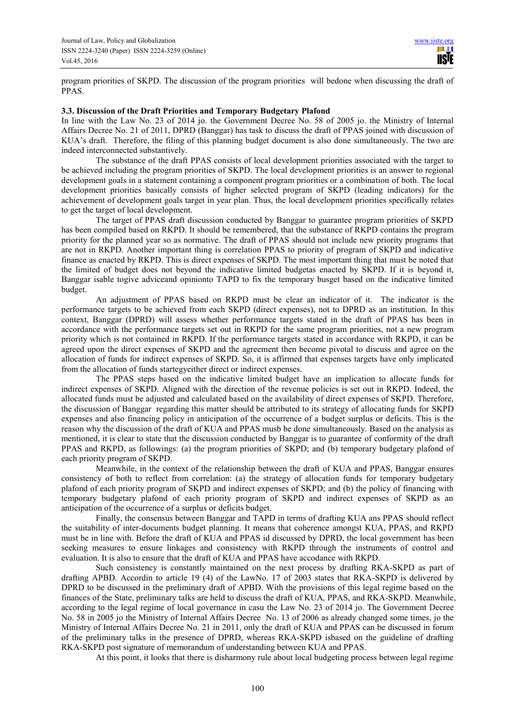program priorities of SKPD. The discussion of the program priorities will bedone when discussing the draft of PPAS.

## **3.3. Discussion of the Draft Priorities and Temporary Budgetary Plafond**

In line with the Law No. 23 of 2014 jo. the Government Decree No. 58 of 2005 jo. the Ministry of Internal Affairs Decree No. 21 of 2011, DPRD (Banggar) has task to discuss the draft of PPAS joined with discussion of KUA's draft. Therefore, the filing of this planning budget document is also done simultaneously. The two are indeed interconnected substantively.

The substance of the draft PPAS consists of local development priorities associated with the target to be achieved including the program priorities of SKPD. The local development priorities is an answer to regional development goals in a statement containing a component program priorities or a combination of both. The local development priorities basically consists of higher selected program of SKPD (leading indicators) for the achievement of development goals target in year plan. Thus, the local development priorities specifically relates to get the target of local development.

The target of PPAS draft discussion conducted by Banggar to guarantee program priorities of SKPD has been compiled based on RKPD. It should be remembered, that the substance of RKPD contains the program priority for the planned year so as normative. The draft of PPAS should not include new priority programs that are not in RKPD. Another important thing is correlation PPAS to priority of program of SKPD and indicative finance as enacted by RKPD. This is direct expenses of SKPD. The most important thing that must be noted that the limited of budget does not beyond the indicative limited budgetas enacted by SKPD. If it is beyond it, Banggar isable togive adviceand opinionto TAPD to fix the temporary busget based on the indicative limited budget.

An adjustment of PPAS based on RKPD must be clear an indicator of it. The indicator is the performance targets to be achieved from each SKPD (direct expenses), not to DPRD as an institution. In this context, Banggar (DPRD) will assess whether performance targets stated in the draft of PPAS has been in accordance with the performance targets set out in RKPD for the same program priorities, not a new program priority which is not contained in RKPD. If the performance targets stated in accordance with RKPD, it can be agreed upon the direct expenses of SKPD and the agreement then become pivotal to discuss and agree on the allocation of funds for indirect expenses of SKPD. So, it is affirmed that expenses targets have only implicated from the allocation of funds startegyeither direct or indirect expenses.

The PPAS steps based on the indicative limited budget have an implication to allocate funds for indirect expenses of SKPD. Aligned with the direction of the revenue policies is set out in RKPD. Indeed, the allocated funds must be adjusted and calculated based on the availability of direct expenses of SKPD. Therefore, the discussion of Banggar regarding this matter should be attributed to its strategy of allocating funds for SKPD expenses and also financing policy in anticipation of the occurrence of a budget surplus or deficits. This is the reason why the discussion of the draft of KUA and PPAS musb be done simultaneously. Based on the analysis as mentioned, it is clear to state that the discussion conducted by Banggar is to guarantee of conformity of the draft PPAS and RKPD, as followings: (a) the program priorities of SKPD; and (b) temporary budgetary plafond of each priority program of SKPD.

Meanwhile, in the context of the relationship between the draft of KUA and PPAS, Banggar ensures consistency of both to reflect from correlation: (a) the strategy of allocation funds for temporary budgetary plafond of each priority program of SKPD and indirect expenses of SKPD; and (b) the policy of financing with temporary budgetary plafond of each priority program of SKPD and indirect expenses of SKPD as an anticipation of the occurrence of a surplus or deficits budget.

Finally, the consensus between Banggar and TAPD in terms of drafting KUA ans PPAS should reflect the suitability of inter-documents budget planning. It means that coherence amongst KUA, PPAS, and RKPD must be in line with. Before the draft of KUA and PPAS id discussed by DPRD, the local government has been seeking measures to ensure linkages and consistency with RKPD through the instruments of control and evaluation. It is also to ensure that the draft of KUA and PPAS have accodance with RKPD.

Such consistency is constantly maintained on the next process by drafting RKA-SKPD as part of drafting APBD. Accordin to article 19 (4) of the LawNo. 17 of 2003 states that RKA-SKPD is delivered by DPRD to be discussed in the preliminary draft of APBD. With the provisions of this legal regime based on the finances of the State, preliminary talks are held to discuss the draft of KUA, PPAS, and RKA-SKPD. Meanwhile, according to the legal regime of local governance in casu the Law No. 23 of 2014 jo. The Government Decree No. 58 in 2005 jo the Ministry of Internal Affairs Decree No. 13 of 2006 as already changed some times, jo the Ministry of Internal Affairs Decree No. 21 in 2011, only the draft of KUA and PPAS can be discussed in forum of the preliminary talks in the presence of DPRD, whereas RKA-SKPD isbased on the guideline of drafting RKA-SKPD post signature of memorandum of understanding between KUA and PPAS.

At this point, it looks that there is disharmony rule about local budgeting process between legal regime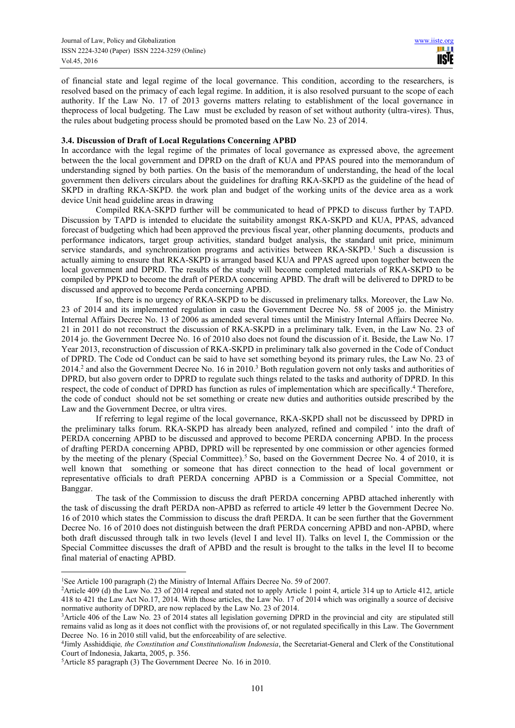of financial state and legal regime of the local governance. This condition, according to the researchers, is resolved based on the primacy of each legal regime. In addition, it is also resolved pursuant to the scope of each authority. If the Law No. 17 of 2013 governs matters relating to establishment of the local governance in theprocess of local budgeting. The Law must be excluded by reason of set without authority (ultra-vires). Thus, the rules about budgeting process should be promoted based on the Law No. 23 of 2014.

## **3.4. Discussion of Draft of Local Regulations Concerning APBD**

In accordance with the legal regime of the primates of local governance as expressed above, the agreement between the the local government and DPRD on the draft of KUA and PPAS poured into the memorandum of understanding signed by both parties. On the basis of the memorandum of understanding, the head of the local government then delivers circulars about the guidelines for drafting RKA-SKPD as the guideline of the head of SKPD in drafting RKA-SKPD. the work plan and budget of the working units of the device area as a work device Unit head guideline areas in drawing

Compiled RKA-SKPD further will be communicated to head of PPKD to discuss further by TAPD. Discussion by TAPD is intended to elucidate the suitability amongst RKA-SKPD and KUA, PPAS, advanced forecast of budgeting which had been approved the previous fiscal year, other planning documents, products and performance indicators, target group activities, standard budget analysis, the standard unit price, minimum service standards, and synchronization programs and activities between RKA-SKPD.<sup>1</sup> Such a discussion is actually aiming to ensure that RKA-SKPD is arranged based KUA and PPAS agreed upon together between the local government and DPRD. The results of the study will become completed materials of RKA-SKPD to be compiled by PPKD to become the draft of PERDA concerning APBD. The draft will be delivered to DPRD to be discussed and approved to become Perda concerning APBD.

If so, there is no urgency of RKA-SKPD to be discussed in prelimenary talks. Moreover, the Law No. 23 of 2014 and its implemented regulation in casu the Government Decree No. 58 of 2005 jo. the Ministry Internal Affairs Decree No. 13 of 2006 as amended several times until the Ministry Internal Affairs Decree No. 21 in 2011 do not reconstruct the discussion of RKA-SKPD in a preliminary talk. Even, in the Law No. 23 of 2014 jo. the Government Decree No. 16 of 2010 also does not found the discussion of it. Beside, the Law No. 17 Year 2013, reconstruction of discussion of RKA-SKPD in preliminary talk also governed in the Code of Conduct of DPRD. The Code od Conduct can be said to have set something beyond its primary rules, the Law No. 23 of  $2014<sup>2</sup>$  and also the Government Decree No. 16 in 2010.<sup>3</sup> Both regulation govern not only tasks and authorities of DPRD, but also govern order to DPRD to regulate such things related to the tasks and authority of DPRD. In this respect, the code of conduct of DPRD has function as rules of implementation which are specifically.<sup>4</sup> Therefore, the code of conduct should not be set something or create new duties and authorities outside prescribed by the Law and the Government Decree, or ultra vires.

If referring to legal regime of the local governance, RKA-SKPD shall not be discusseed by DPRD in the preliminary talks forum. RKA-SKPD has already been analyzed, refined and compiled ' into the draft of PERDA concerning APBD to be discussed and approved to become PERDA concerning APBD. In the process of drafting PERDA concerning APBD, DPRD will be represented by one commission or other agencies formed by the meeting of the plenary (Special Committee).<sup>5</sup> So, based on the Government Decree No. 4 of 2010, it is well known that something or someone that has direct connection to the head of local government or representative officials to draft PERDA concerning APBD is a Commission or a Special Committee, not Banggar.

The task of the Commission to discuss the draft PERDA concerning APBD attached inherently with the task of discussing the draft PERDA non-APBD as referred to article 49 letter b the Government Decree No. 16 of 2010 which states the Commission to discuss the draft PERDA. It can be seen further that the Government Decree No. 16 of 2010 does not distinguish between the draft PERDA concerning APBD and non-APBD, where both draft discussed through talk in two levels (level I and level II). Talks on level I, the Commission or the Special Committee discusses the draft of APBD and the result is brought to the talks in the level II to become final material of enacting APBD.

 $\overline{a}$ <sup>1</sup>See Article 100 paragraph (2) the Ministry of Internal Affairs Decree No. 59 of 2007.

<sup>&</sup>lt;sup>2</sup>Article 409 (d) the Law No. 23 of 2014 repeal and stated not to apply Article 1 point 4, article 314 up to Article 412, article 418 to 421 the Law Act No.17, 2014. With those articles, the Law No. 17 of 2014 which was originally a source of decisive normative authority of DPRD, are now replaced by the Law No. 23 of 2014.

<sup>3</sup>Article 406 of the Law No. 23 of 2014 states all legislation governing DPRD in the provincial and city are stipulated still remains valid as long as it does not conflict with the provisions of, or not regulated specifically in this Law. The Government Decree No. 16 in 2010 still valid, but the enforceability of are selective.

<sup>4</sup> Jimly Asshiddiqie*, the Constitution and Constitutionalism Indonesia*, the Secretariat-General and Clerk of the Constitutional Court of Indonesia, Jakarta, 2005, p. 356.

<sup>5</sup>Article 85 paragraph (3) The Government Decree No. 16 in 2010.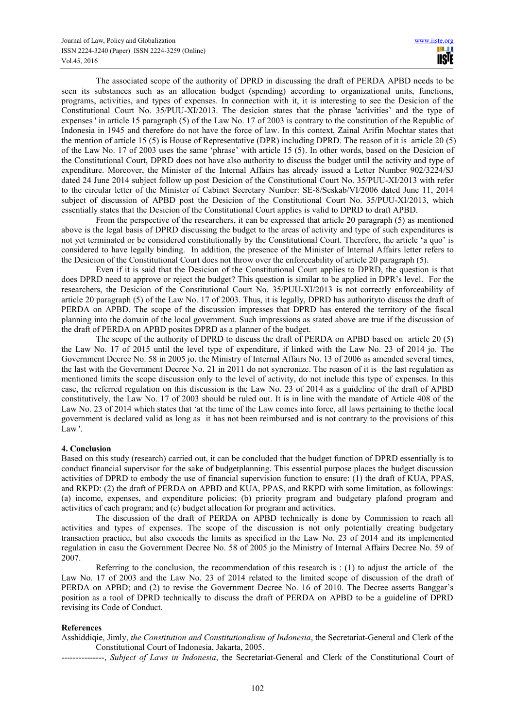The associated scope of the authority of DPRD in discussing the draft of PERDA APBD needs to be seen its substances such as an allocation budget (spending) according to organizational units, functions, programs, activities, and types of expenses. In connection with it, it is interesting to see the Desicion of the Constitutional Court No. 35/PUU-XI/2013. The desicion states that the phrase 'activities' and the type of expenses ' in article 15 paragraph (5) of the Law No. 17 of 2003 is contrary to the constitution of the Republic of Indonesia in 1945 and therefore do not have the force of law. In this context, Zainal Arifin Mochtar states that the mention of article 15 (5) is House of Representative (DPR) including DPRD. The reason of it is article 20 (5) of the Law No. 17 of 2003 uses the same 'phrase' with article 15 (5). In other words, based on the Desicion of the Constitutional Court, DPRD does not have also authority to discuss the budget until the activity and type of expenditure. Moreover, the Minister of the Internal Affairs has already issued a Letter Number 902/3224/SJ dated 24 June 2014 subject follow up post Desicion of the Constitutional Court No. 35/PUU-XI/2013 with refer to the circular letter of the Minister of Cabinet Secretary Number: SE-8/Seskab/VI/2006 dated June 11, 2014 subject of discussion of APBD post the Desicion of the Constitutional Court No. 35/PUU-XI/2013, which essentially states that the Desicion of the Constitutional Court applies is valid to DPRD to draft APBD.

From the perspective of the researchers, it can be expressed that article 20 paragraph (5) as mentioned above is the legal basis of DPRD discussing the budget to the areas of activity and type of such expenditures is not yet terminated or be considered constitutionally by the Constitutional Court. Therefore, the article 'a quo' is considered to have legally binding. In addition, the presence of the Minister of Internal Affairs letter refers to the Desicion of the Constitutional Court does not throw over the enforceability of article 20 paragraph (5).

Even if it is said that the Desicion of the Constitutional Court applies to DPRD, the question is that does DPRD need to approve or reject the budget? This question is similar to be applied in DPR's level. For the researchers, the Desicion of the Constitutional Court No. 35/PUU-XI/2013 is not correctly enforceability of article 20 paragraph (5) of the Law No. 17 of 2003. Thus, it is legally, DPRD has authorityto discuss the draft of PERDA on APBD. The scope of the discussion impresses that DPRD has entered the territory of the fiscal planning into the domain of the local government. Such impressions as stated above are true if the discussion of the draft of PERDA on APBD posites DPRD as a planner of the budget.

The scope of the authority of DPRD to discuss the draft of PERDA on APBD based on article 20 (5) the Law No. 17 of 2015 until the level type of expenditure, if linked with the Law No. 23 of 2014 jo. The Government Decree No. 58 in 2005 jo. the Ministry of Internal Affairs No. 13 of 2006 as amended several times, the last with the Government Decree No. 21 in 2011 do not syncronize. The reason of it is the last regulation as mentioned limits the scope discussion only to the level of activity, do not include this type of expenses. In this case, the referred regulation on this discussion is the Law No. 23 of 2014 as a guideline of the draft of APBD constitutively, the Law No. 17 of 2003 should be ruled out. It is in line with the mandate of Article 408 of the Law No. 23 of 2014 which states that 'at the time of the Law comes into force, all laws pertaining to thethe local government is declared valid as long as it has not been reimbursed and is not contrary to the provisions of this Law '.

# **4. Conclusion**

Based on this study (research) carried out, it can be concluded that the budget function of DPRD essentially is to conduct financial supervisor for the sake of budgetplanning. This essential purpose places the budget discussion activities of DPRD to embody the use of financial supervision function to ensure: (1) the draft of KUA, PPAS, and RKPD: (2) the draft of PERDA on APBD and KUA, PPAS, and RKPD with some limitation, as followings: (a) income, expenses, and expenditure policies; (b) priority program and budgetary plafond program and activities of each program; and (c) budget allocation for program and activities.

The discussion of the draft of PERDA on APBD technically is done by Commission to reach all activities and types of expenses. The scope of the discussion is not only potentially creating budgetary transaction practice, but also exceeds the limits as specified in the Law No. 23 of 2014 and its implemented regulation in casu the Government Decree No. 58 of 2005 jo the Ministry of Internal Affairs Decree No. 59 of 2007.

Referring to the conclusion, the recommendation of this research is :  $(1)$  to adjust the article of the Law No. 17 of 2003 and the Law No. 23 of 2014 related to the limited scope of discussion of the draft of PERDA on APBD; and (2) to revise the Government Decree No. 16 of 2010. The Decree asserts Banggar's position as a tool of DPRD technically to discuss the draft of PERDA on APBD to be a guideline of DPRD revising its Code of Conduct.

#### **References**

Asshiddiqie, Jimly, *the Constitution and Constitutionalism of Indonesia*, the Secretariat-General and Clerk of the Constitutional Court of Indonesia, Jakarta, 2005.

---------------, *Subject of Laws in Indonesia*, the Secretariat-General and Clerk of the Constitutional Court of